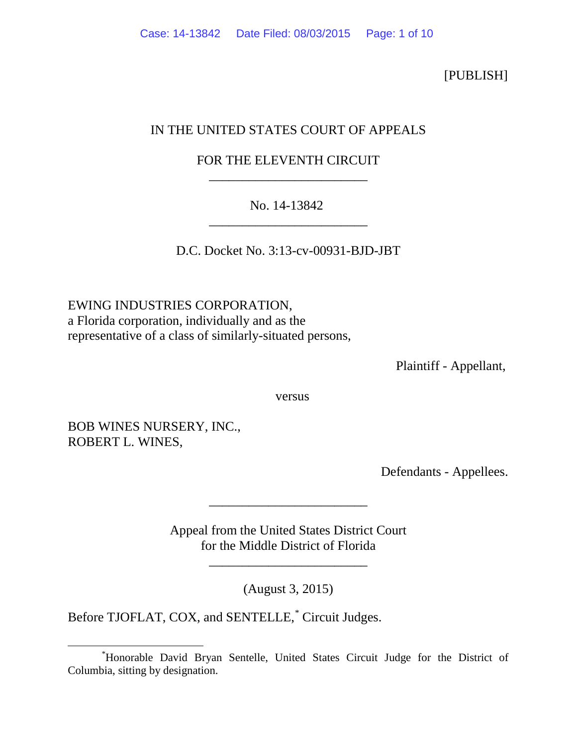[PUBLISH]

# IN THE UNITED STATES COURT OF APPEALS

# FOR THE ELEVENTH CIRCUIT \_\_\_\_\_\_\_\_\_\_\_\_\_\_\_\_\_\_\_\_\_\_\_\_

## No. 14-13842 \_\_\_\_\_\_\_\_\_\_\_\_\_\_\_\_\_\_\_\_\_\_\_\_

D.C. Docket No. 3:13-cv-00931-BJD-JBT

EWING INDUSTRIES CORPORATION, a Florida corporation, individually and as the representative of a class of similarly-situated persons,

Plaintiff - Appellant,

versus

BOB WINES NURSERY, INC., ROBERT L. WINES,

Defendants - Appellees.

Appeal from the United States District Court for the Middle District of Florida

\_\_\_\_\_\_\_\_\_\_\_\_\_\_\_\_\_\_\_\_\_\_\_\_

\_\_\_\_\_\_\_\_\_\_\_\_\_\_\_\_\_\_\_\_\_\_\_\_

(August 3, 2015)

Before TJOFLAT, COX, and SENTELLE,<sup>[\\*](#page-0-0)</sup> Circuit Judges.

<span id="page-0-0"></span> <sup>\*</sup> Honorable David Bryan Sentelle, United States Circuit Judge for the District of Columbia, sitting by designation.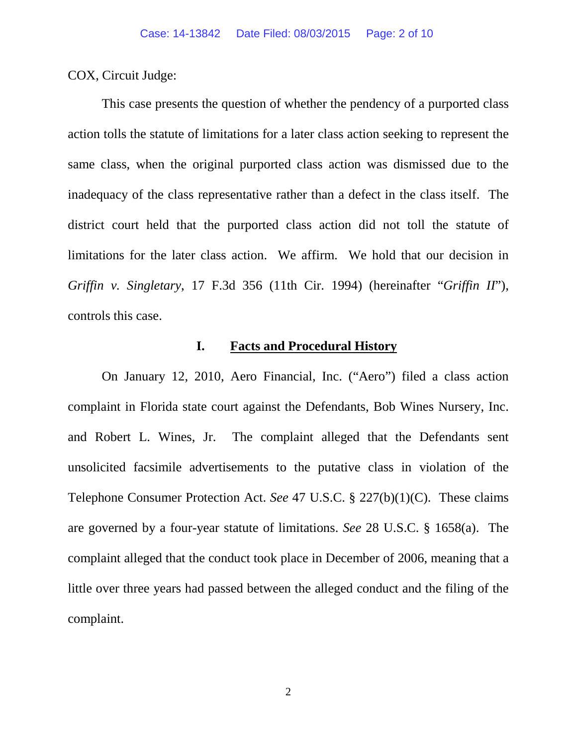COX, Circuit Judge:

This case presents the question of whether the pendency of a purported class action tolls the statute of limitations for a later class action seeking to represent the same class, when the original purported class action was dismissed due to the inadequacy of the class representative rather than a defect in the class itself. The district court held that the purported class action did not toll the statute of limitations for the later class action. We affirm. We hold that our decision in *Griffin v. Singletary*, 17 F.3d 356 (11th Cir. 1994) (hereinafter "*Griffin II*"), controls this case.

### **I. Facts and Procedural History**

On January 12, 2010, Aero Financial, Inc. ("Aero") filed a class action complaint in Florida state court against the Defendants, Bob Wines Nursery, Inc. and Robert L. Wines, Jr. The complaint alleged that the Defendants sent unsolicited facsimile advertisements to the putative class in violation of the Telephone Consumer Protection Act. *See* 47 U.S.C. § 227(b)(1)(C). These claims are governed by a four-year statute of limitations. *See* 28 U.S.C. § 1658(a). The complaint alleged that the conduct took place in December of 2006, meaning that a little over three years had passed between the alleged conduct and the filing of the complaint.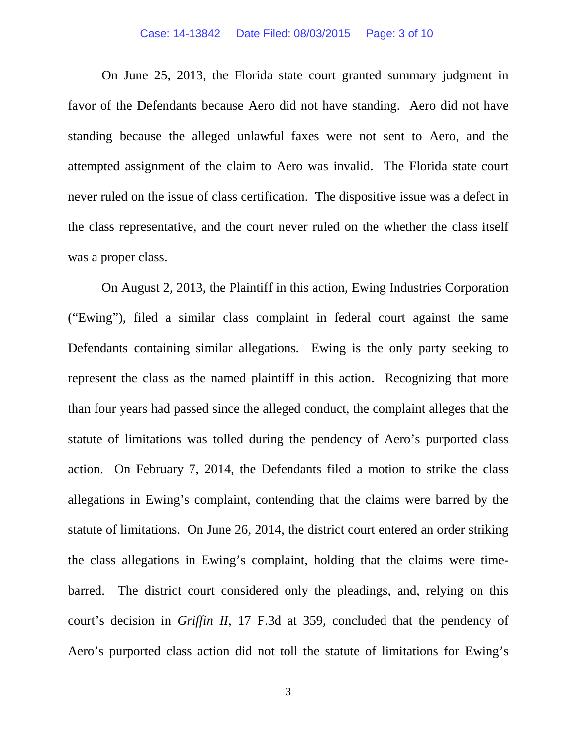### Case: 14-13842 Date Filed: 08/03/2015 Page: 3 of 10

On June 25, 2013, the Florida state court granted summary judgment in favor of the Defendants because Aero did not have standing. Aero did not have standing because the alleged unlawful faxes were not sent to Aero, and the attempted assignment of the claim to Aero was invalid. The Florida state court never ruled on the issue of class certification. The dispositive issue was a defect in the class representative, and the court never ruled on the whether the class itself was a proper class.

On August 2, 2013, the Plaintiff in this action, Ewing Industries Corporation ("Ewing"), filed a similar class complaint in federal court against the same Defendants containing similar allegations. Ewing is the only party seeking to represent the class as the named plaintiff in this action. Recognizing that more than four years had passed since the alleged conduct, the complaint alleges that the statute of limitations was tolled during the pendency of Aero's purported class action. On February 7, 2014, the Defendants filed a motion to strike the class allegations in Ewing's complaint, contending that the claims were barred by the statute of limitations. On June 26, 2014, the district court entered an order striking the class allegations in Ewing's complaint, holding that the claims were timebarred. The district court considered only the pleadings, and, relying on this court's decision in *Griffin II*, 17 F.3d at 359, concluded that the pendency of Aero's purported class action did not toll the statute of limitations for Ewing's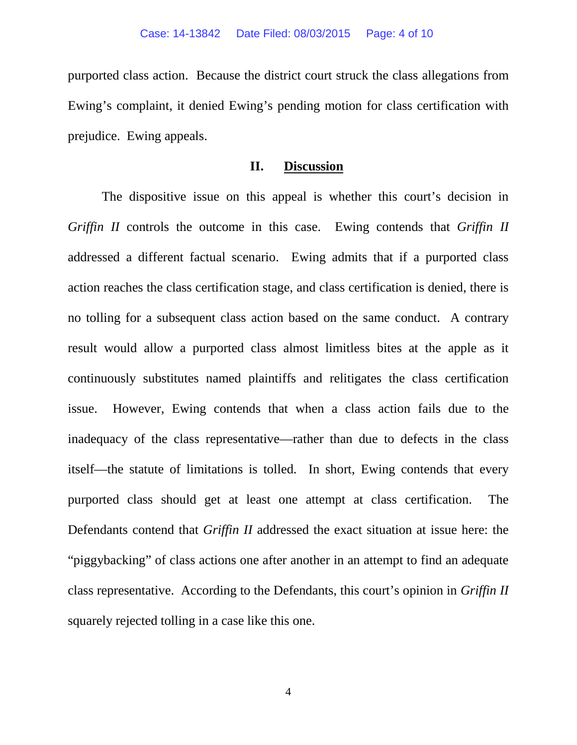purported class action. Because the district court struck the class allegations from Ewing's complaint, it denied Ewing's pending motion for class certification with prejudice. Ewing appeals.

### **II. Discussion**

The dispositive issue on this appeal is whether this court's decision in *Griffin II* controls the outcome in this case. Ewing contends that *Griffin II* addressed a different factual scenario. Ewing admits that if a purported class action reaches the class certification stage, and class certification is denied, there is no tolling for a subsequent class action based on the same conduct. A contrary result would allow a purported class almost limitless bites at the apple as it continuously substitutes named plaintiffs and relitigates the class certification issue. However, Ewing contends that when a class action fails due to the inadequacy of the class representative—rather than due to defects in the class itself—the statute of limitations is tolled. In short, Ewing contends that every purported class should get at least one attempt at class certification. The Defendants contend that *Griffin II* addressed the exact situation at issue here: the "piggybacking" of class actions one after another in an attempt to find an adequate class representative. According to the Defendants, this court's opinion in *Griffin II* squarely rejected tolling in a case like this one.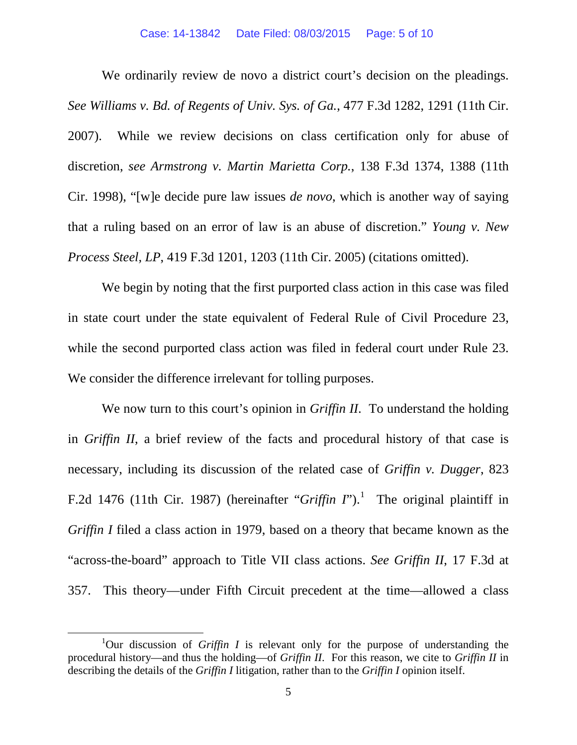#### Case: 14-13842 Date Filed: 08/03/2015 Page: 5 of 10

We ordinarily review de novo a district court's decision on the pleadings. *See Williams v. Bd. of Regents of Univ. Sys. of Ga.*, 477 F.3d 1282, 1291 (11th Cir. 2007). While we review decisions on class certification only for abuse of discretion, *see Armstrong v. Martin Marietta Corp.*, 138 F.3d 1374, 1388 (11th Cir. 1998), "[w]e decide pure law issues *de novo*, which is another way of saying that a ruling based on an error of law is an abuse of discretion." *Young v. New Process Steel, LP*, 419 F.3d 1201, 1203 (11th Cir. 2005) (citations omitted).

We begin by noting that the first purported class action in this case was filed in state court under the state equivalent of Federal Rule of Civil Procedure 23, while the second purported class action was filed in federal court under Rule 23. We consider the difference irrelevant for tolling purposes.

We now turn to this court's opinion in *Griffin II*. To understand the holding in *Griffin II*, a brief review of the facts and procedural history of that case is necessary, including its discussion of the related case of *Griffin v. Dugger*, 823 F.2d [1](#page-4-0)476 (11th Cir. 1987) (hereinafter "*Griffin I*").<sup>1</sup> The original plaintiff in *Griffin I* filed a class action in 1979, based on a theory that became known as the "across-the-board" approach to Title VII class actions. *See Griffin II*, 17 F.3d at 357. This theory—under Fifth Circuit precedent at the time—allowed a class

<span id="page-4-0"></span><sup>&</sup>lt;u>1</u> Our discussion of *Griffin I* is relevant only for the purpose of understanding the procedural history—and thus the holding—of *Griffin II*. For this reason, we cite to *Griffin II* in describing the details of the *Griffin I* litigation, rather than to the *Griffin I* opinion itself.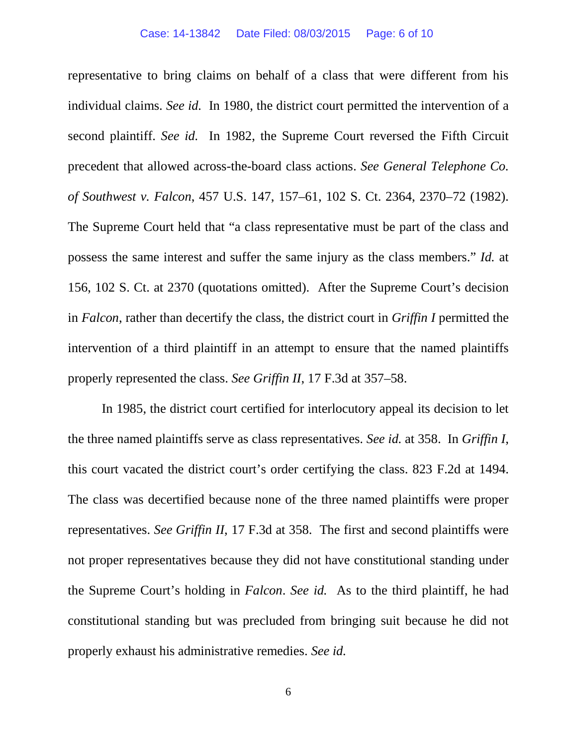representative to bring claims on behalf of a class that were different from his individual claims. *See id.* In 1980, the district court permitted the intervention of a second plaintiff. *See id.* In 1982, the Supreme Court reversed the Fifth Circuit precedent that allowed across-the-board class actions. *See General Telephone Co. of Southwest v. Falcon*, 457 U.S. 147, 157–61, 102 S. Ct. 2364, 2370–72 (1982). The Supreme Court held that "a class representative must be part of the class and possess the same interest and suffer the same injury as the class members." *Id.* at 156, 102 S. Ct. at 2370 (quotations omitted). After the Supreme Court's decision in *Falcon*, rather than decertify the class, the district court in *Griffin I* permitted the intervention of a third plaintiff in an attempt to ensure that the named plaintiffs properly represented the class. *See Griffin II*, 17 F.3d at 357–58.

In 1985, the district court certified for interlocutory appeal its decision to let the three named plaintiffs serve as class representatives. *See id.* at 358. In *Griffin I*, this court vacated the district court's order certifying the class. 823 F.2d at 1494. The class was decertified because none of the three named plaintiffs were proper representatives. *See Griffin II*, 17 F.3d at 358. The first and second plaintiffs were not proper representatives because they did not have constitutional standing under the Supreme Court's holding in *Falcon*. *See id.* As to the third plaintiff, he had constitutional standing but was precluded from bringing suit because he did not properly exhaust his administrative remedies. *See id.*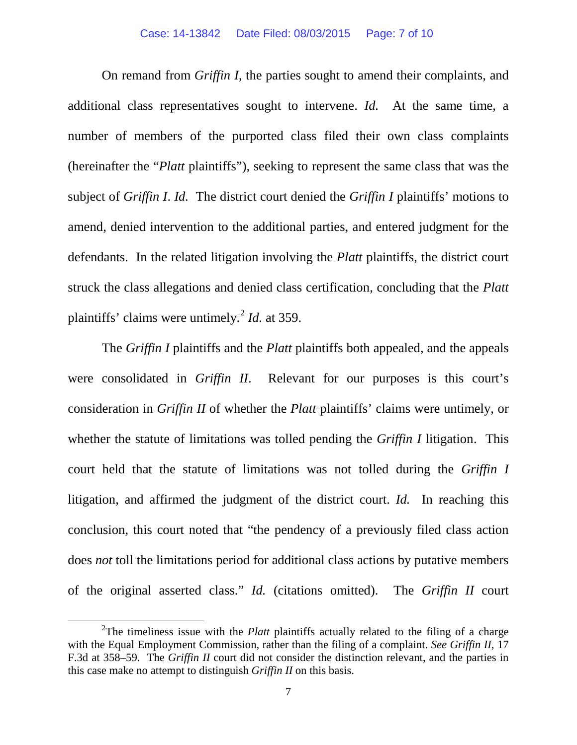On remand from *Griffin I*, the parties sought to amend their complaints, and additional class representatives sought to intervene. *Id.* At the same time, a number of members of the purported class filed their own class complaints (hereinafter the "*Platt* plaintiffs"), seeking to represent the same class that was the subject of *Griffin I*. *Id.* The district court denied the *Griffin I* plaintiffs' motions to amend, denied intervention to the additional parties, and entered judgment for the defendants. In the related litigation involving the *Platt* plaintiffs, the district court struck the class allegations and denied class certification, concluding that the *Platt* plaintiffs' claims were untimely.[2](#page-6-0) *Id.* at 359.

The *Griffin I* plaintiffs and the *Platt* plaintiffs both appealed, and the appeals were consolidated in *Griffin II*. Relevant for our purposes is this court's consideration in *Griffin II* of whether the *Platt* plaintiffs' claims were untimely, or whether the statute of limitations was tolled pending the *Griffin I* litigation. This court held that the statute of limitations was not tolled during the *Griffin I* litigation, and affirmed the judgment of the district court. *Id.* In reaching this conclusion, this court noted that "the pendency of a previously filed class action does *not* toll the limitations period for additional class actions by putative members of the original asserted class." *Id.* (citations omitted). The *Griffin II* court

<span id="page-6-0"></span> $\overline{\phantom{a}}$  2 <sup>2</sup>The timeliness issue with the *Platt* plaintiffs actually related to the filing of a charge with the Equal Employment Commission, rather than the filing of a complaint. *See Griffin II*, 17 F.3d at 358–59. The *Griffin II* court did not consider the distinction relevant, and the parties in this case make no attempt to distinguish *Griffin II* on this basis.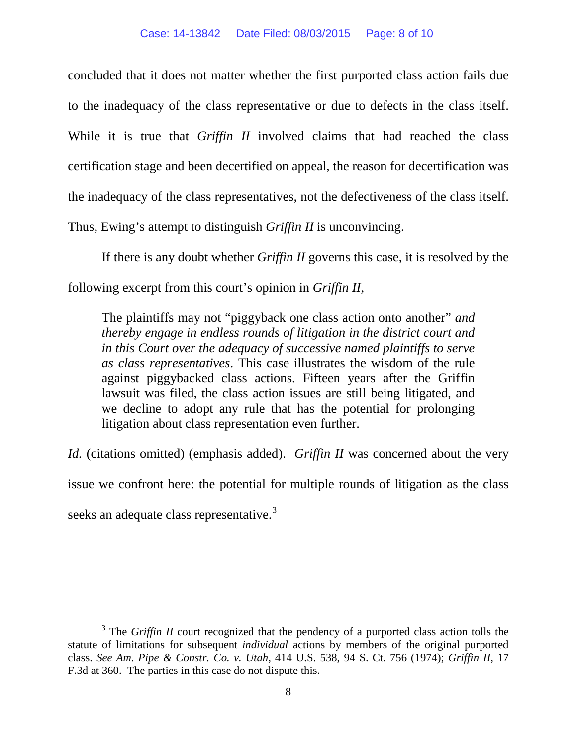concluded that it does not matter whether the first purported class action fails due to the inadequacy of the class representative or due to defects in the class itself. While it is true that *Griffin II* involved claims that had reached the class certification stage and been decertified on appeal, the reason for decertification was the inadequacy of the class representatives, not the defectiveness of the class itself. Thus, Ewing's attempt to distinguish *Griffin II* is unconvincing.

If there is any doubt whether *Griffin II* governs this case, it is resolved by the following excerpt from this court's opinion in *Griffin II*,

The plaintiffs may not "piggyback one class action onto another" *and thereby engage in endless rounds of litigation in the district court and in this Court over the adequacy of successive named plaintiffs to serve as class representatives*. This case illustrates the wisdom of the rule against piggybacked class actions. Fifteen years after the Griffin lawsuit was filed, the class action issues are still being litigated, and we decline to adopt any rule that has the potential for prolonging litigation about class representation even further.

*Id.* (citations omitted) (emphasis added). *Griffin II* was concerned about the very issue we confront here: the potential for multiple rounds of litigation as the class seeks an adequate class representative.<sup>[3](#page-7-0)</sup>

<span id="page-7-0"></span><sup>&</sup>lt;sup>3</sup> The *Griffin II* court recognized that the pendency of a purported class action tolls the statute of limitations for subsequent *individual* actions by members of the original purported class. *See Am. Pipe & Constr. Co. v. Utah*, 414 U.S. 538, 94 S. Ct. 756 (1974); *Griffin II*, 17 F.3d at 360. The parties in this case do not dispute this.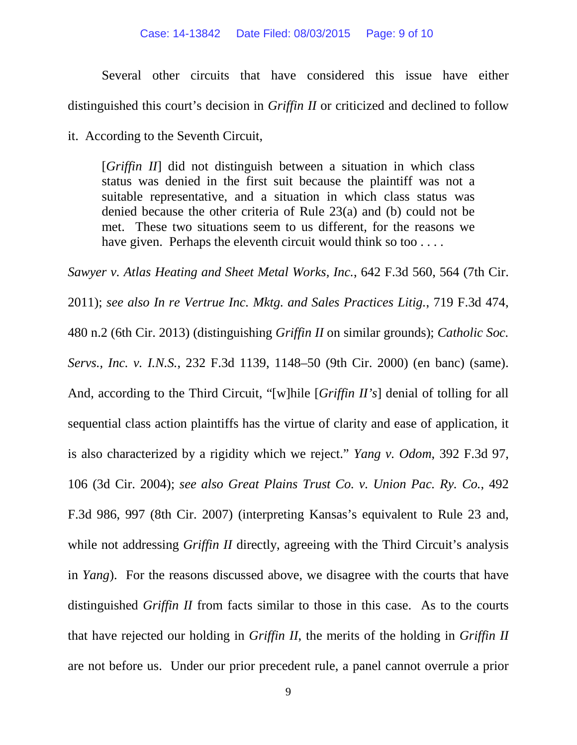#### Case: 14-13842 Date Filed: 08/03/2015 Page: 9 of 10

Several other circuits that have considered this issue have either distinguished this court's decision in *Griffin II* or criticized and declined to follow

it. According to the Seventh Circuit,

[*Griffin II*] did not distinguish between a situation in which class status was denied in the first suit because the plaintiff was not a suitable representative, and a situation in which class status was denied because the other criteria of Rule 23(a) and (b) could not be met. These two situations seem to us different, for the reasons we have given. Perhaps the eleventh circuit would think so too ....

*Sawyer v. Atlas Heating and Sheet Metal Works, Inc.*, 642 F.3d 560, 564 (7th Cir. 2011); *see also In re Vertrue Inc. Mktg. and Sales Practices Litig.*, 719 F.3d 474, 480 n.2 (6th Cir. 2013) (distinguishing *Griffin II* on similar grounds); *Catholic Soc. Servs., Inc. v. I.N.S.*, 232 F.3d 1139, 1148–50 (9th Cir. 2000) (en banc) (same). And, according to the Third Circuit, "[w]hile [*Griffin II's*] denial of tolling for all sequential class action plaintiffs has the virtue of clarity and ease of application, it is also characterized by a rigidity which we reject." *Yang v. Odom*, 392 F.3d 97, 106 (3d Cir. 2004); *see also Great Plains Trust Co. v. Union Pac. Ry. Co.*, 492 F.3d 986, 997 (8th Cir. 2007) (interpreting Kansas's equivalent to Rule 23 and, while not addressing *Griffin II* directly, agreeing with the Third Circuit's analysis in *Yang*). For the reasons discussed above, we disagree with the courts that have distinguished *Griffin II* from facts similar to those in this case. As to the courts that have rejected our holding in *Griffin II*, the merits of the holding in *Griffin II* are not before us. Under our prior precedent rule, a panel cannot overrule a prior